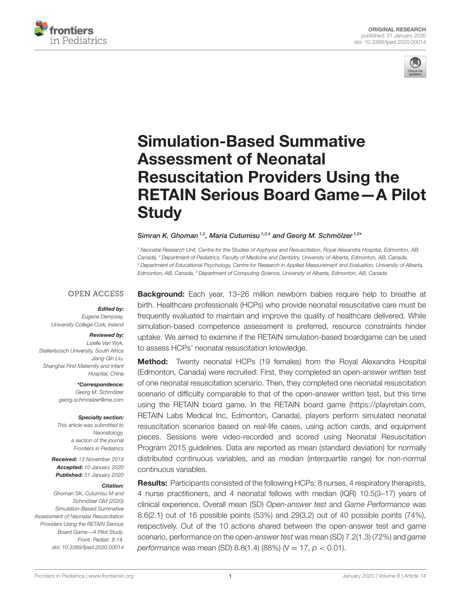



# Simulation-Based Summative Assessment of Neonatal Resuscitation Providers Using the [RETAIN Serious Board Game—A Pilot](https://www.frontiersin.org/articles/10.3389/fped.2020.00014/full) **Study**

#### [Simran K. Ghoman](http://loop.frontiersin.org/people/874977/overview)<sup>1,2</sup>, [Maria Cutumisu](http://loop.frontiersin.org/people/534075/overview)<sup>1,3,4</sup> and [Georg M. Schmölzer](http://loop.frontiersin.org/people/60151/overview)<sup>1,2x</sup>

<sup>1</sup> Neonatal Research Unit, Centre for the Studies of Asphyxia and Resuscitation, Royal Alexandra Hospital, Edmonton, AB, Canada, <sup>2</sup> Department of Pediatrics, Faculty of Medicine and Dentistry, University of Alberta, Edmonton, AB, Canada, <sup>3</sup> Department of Educational Psychology, Centre for Research in Applied Measurement and Evaluation, University of Alberta, Edmonton, AB, Canada, <sup>4</sup> Department of Computing Science, University of Alberta, Edmonton, AB, Canada

#### **OPEN ACCESS**

#### Edited by:

Eugene Dempsey, University College Cork, Ireland

#### Reviewed by:

Lizelle Van Wyk, Stellenbosch University, South Africa Jiang-Qin Liu, Shanghai First Maternity and Infant Hospital, China

> \*Correspondence: Georg M. Schmölzer [georg.schmoelzer@me.com](mailto:georg.schmoelzer@me.com)

#### Specialty section:

This article was submitted to Neonatology, a section of the journal Frontiers in Pediatrics

Received: 13 November 2019 Accepted: 10 January 2020 Published: 31 January 2020

#### Citation:

Ghoman SK, Cutumisu M and Schmölzer GM (2020) Simulation-Based Summative Assessment of Neonatal Resuscitation Providers Using the RETAIN Serious Board Game—A Pilot Study. Front. Pediatr. 8:14. doi: [10.3389/fped.2020.00014](https://doi.org/10.3389/fped.2020.00014)

**Background:** Each year, 13–26 million newborn babies require help to breathe at birth. Healthcare professionals (HCPs) who provide neonatal resuscitative care must be frequently evaluated to maintain and improve the quality of healthcare delivered. While simulation-based competence assessment is preferred, resource constraints hinder uptake. We aimed to examine if the RETAIN simulation-based boardgame can be used to assess HCPs' neonatal resuscitation knowledge.

**Method:** Twenty neonatal HCPs (19 females) from the Royal Alexandra Hospital (Edmonton, Canada) were recruited. First, they completed an open-answer written test of one neonatal resuscitation scenario. Then, they completed one neonatal resuscitation scenario of difficulty comparable to that of the open-answer written test, but this time using the RETAIN board game. In the RETAIN board game [\(https://playretain.com,](https://playretain.com) RETAIN Labs Medical Inc, Edmonton, Canada), players perform simulated neonatal resuscitation scenarios based on real-life cases, using action cards, and equipment pieces. Sessions were video-recorded and scored using Neonatal Resuscitation Program 2015 guidelines. Data are reported as mean (standard deviation) for normally distributed continuous variables, and as median (interquartile range) for non-normal continuous variables.

Results: Participants consisted of the following HCPs: 8 nurses, 4 respiratory therapists, 4 nurse practitioners, and 4 neonatal fellows with median (IQR) 10.5(3–17) years of clinical experience. Overall mean (SD) Open-answer test and Game Performance was 8.6(2.1) out of 16 possible points (53%) and 29(3.2) out of 40 possible points (74%), respectively. Out of the 10 actions shared between the open-answer test and game scenario, performance on the open-answer test was mean (SD) 7.2(1.3) (72%) and game performance was mean (SD) 8.8(1.4) (88%) ( $V = 17$ ,  $p < 0.01$ ).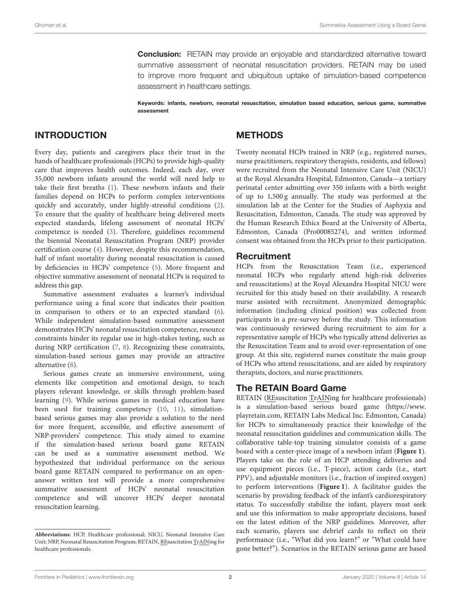**Conclusion:** RETAIN may provide an enjoyable and standardized alternative toward summative assessment of neonatal resuscitation providers. RETAIN may be used to improve more frequent and ubiquitous uptake of simulation-based competence assessment in healthcare settings.

Keywords: infants, newborn, neonatal resuscitation, simulation based education, serious game, summative assessment

## INTRODUCTION

Every day, patients and caregivers place their trust in the hands of healthcare professionals (HCPs) to provide high-quality care that improves health outcomes. Indeed, each day, over 35,000 newborn infants around the world will need help to take their first breaths [\(1\)](#page-5-0). These newborn infants and their families depend on HCPs to perform complex interventions quickly and accurately, under highly-stressful conditions [\(2\)](#page-5-1). To ensure that the quality of healthcare being delivered meets expected standards, lifelong assessment of neonatal HCPs' competence is needed [\(3\)](#page-5-2). Therefore, guidelines recommend the biennial Neonatal Resuscitation Program (NRP) provider certification course [\(4\)](#page-5-3). However, despite this recommendation, half of infant mortality during neonatal resuscitation is caused by deficiencies in HCPs' competence [\(5\)](#page-5-4). More frequent and objective summative assessment of neonatal HCPs is required to address this gap.

Summative assessment evaluates a learner's individual performance using a final score that indicates their position in comparison to others or to an expected standard [\(6\)](#page-5-5). While independent simulation-based summative assessment demonstrates HCPs' neonatal resuscitation competence, resource constraints hinder its regular use in high-stakes testing, such as during NRP certification [\(7,](#page-5-6) [8\)](#page-5-7). Recognizing these constraints, simulation-based serious games may provide an attractive alternative [\(8\)](#page-5-7).

Serious games create an immersive environment, using elements like competition and emotional design, to teach players relevant knowledge, or skills through problem-based learning [\(9\)](#page-5-8). While serious games in medical education have been used for training competency [\(10,](#page-5-9) [11\)](#page-5-10), simulationbased serious games may also provide a solution to the need for more frequent, accessible, and effective assessment of NRP-providers' competence. This study aimed to examine if the simulation-based serious board game RETAIN can be used as a summative assessment method. We hypothesized that individual performance on the serious board game RETAIN compared to performance on an openanswer written test will provide a more comprehensive summative assessment of HCPs' neonatal resuscitation competence and will uncover HCPs' deeper neonatal resuscitation learning.

#### METHODS

Twenty neonatal HCPs trained in NRP (e.g., registered nurses, nurse practitioners, respiratory therapists, residents, and fellows) were recruited from the Neonatal Intensive Care Unit (NICU) at the Royal Alexandra Hospital, Edmonton, Canada—a tertiary perinatal center admitting over 350 infants with a birth weight of up to 1,500 g annually. The study was performed at the simulation lab at the Center for the Studies of Asphyxia and Resuscitation, Edmonton, Canada. The study was approved by the Human Research Ethics Board at the University of Alberta, Edmonton, Canada (Pro00085274), and written informed consent was obtained from the HCPs prior to their participation.

#### Recruitment

HCPs from the Resuscitation Team (i.e., experienced neonatal HCPs who regularly attend high-risk deliveries and resuscitations) at the Royal Alexandra Hospital NICU were recruited for this study based on their availability. A research nurse assisted with recruitment. Anonymized demographic information (including clinical position) was collected from participants in a pre-survey before the study. This information was continuously reviewed during recruitment to aim for a representative sample of HCPs who typically attend deliveries as the Resuscitation Team and to avoid over-representation of one group. At this site, registered nurses constitute the main group of HCPs who attend resuscitations, and are aided by respiratory therapists, doctors, and nurse practitioners.

#### The RETAIN Board Game

RETAIN (REsuscitation TrAINing for healthcare professionals) is a simulation-based serious board game [\(https://www.](https://www.playretain.com) [playretain.com,](https://www.playretain.com) RETAIN Labs Medical Inc. Edmonton, Canada) for HCPs to simultaneously practice their knowledge of the neonatal resuscitation guidelines and communication skills. The collaborative table-top training simulator consists of a game board with a center-piece image of a newborn infant (**[Figure 1](#page-2-0)**). Players take on the role of an HCP attending deliveries and use equipment pieces (i.e., T-piece), action cards (i.e., start PPV), and adjustable monitors (i.e., fraction of inspired oxygen) to perform interventions (**[Figure 1](#page-2-0)**). A facilitator guides the scenario by providing feedback of the infant's cardiorespiratory status. To successfully stabilize the infant, players must seek and use this information to make appropriate decisions, based on the latest edition of the NRP guidelines. Moreover, after each scenario, players use debrief cards to reflect on their performance (i.e., "What did you learn?" or "What could have gone better?"). Scenarios in the RETAIN serious game are based

**Abbreviations:** HCP, Healthcare professional; NICU, Neonatal Intensive Care Unit; NRP, Neonatal Resuscitation Program; RETAIN, REsuscitation TrAINing for healthcare professionals.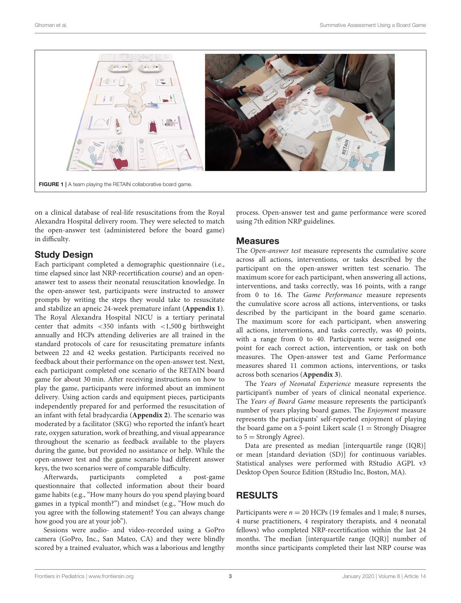

<span id="page-2-0"></span>on a clinical database of real-life resuscitations from the Royal Alexandra Hospital delivery room. They were selected to match the open-answer test (administered before the board game) in difficulty.

# Study Design

Each participant completed a demographic questionnaire (i.e., time elapsed since last NRP-recertification course) and an openanswer test to assess their neonatal resuscitation knowledge. In the open-answer test, participants were instructed to answer prompts by writing the steps they would take to resuscitate and stabilize an apneic 24-week premature infant (**[Appendix 1](#page-5-11)**). The Royal Alexandra Hospital NICU is a tertiary perinatal center that admits <350 infants with <1,500 g birthweight annually and HCPs attending deliveries are all trained in the standard protocols of care for resuscitating premature infants between 22 and 42 weeks gestation. Participants received no feedback about their performance on the open-answer test. Next, each participant completed one scenario of the RETAIN board game for about 30 min. After receiving instructions on how to play the game, participants were informed about an imminent delivery. Using action cards and equipment pieces, participants independently prepared for and performed the resuscitation of an infant with fetal bradycardia (**[Appendix 2](#page-5-11)**). The scenario was moderated by a facilitator (SKG) who reported the infant's heart rate, oxygen saturation, work of breathing, and visual appearance throughout the scenario as feedback available to the players during the game, but provided no assistance or help. While the open-answer test and the game scenario had different answer keys, the two scenarios were of comparable difficulty.

Afterwards, participants completed a post-game questionnaire that collected information about their board game habits (e.g., "How many hours do you spend playing board games in a typical month?") and mindset (e.g., "How much do you agree with the following statement? You can always change how good you are at your job").

Sessions were audio- and video-recorded using a GoPro camera (GoPro, Inc., San Mateo, CA) and they were blindly scored by a trained evaluator, which was a laborious and lengthy process. Open-answer test and game performance were scored using 7th edition NRP guidelines.

## **Measures**

The Open-answer test measure represents the cumulative score across all actions, interventions, or tasks described by the participant on the open-answer written test scenario. The maximum score for each participant, when answering all actions, interventions, and tasks correctly, was 16 points, with a range from 0 to 16. The Game Performance measure represents the cumulative score across all actions, interventions, or tasks described by the participant in the board game scenario. The maximum score for each participant, when answering all actions, interventions, and tasks correctly, was 40 points, with a range from 0 to 40. Participants were assigned one point for each correct action, intervention, or task on both measures. The Open-answer test and Game Performance measures shared 11 common actions, interventions, or tasks across both scenarios (**[Appendix 3](#page-5-11)**).

The Years of Neonatal Experience measure represents the participant's number of years of clinical neonatal experience. The Years of Board Game measure represents the participant's number of years playing board games. The Enjoyment measure represents the participants' self-reported enjoyment of playing the board game on a 5-point Likert scale  $(1 =$  Strongly Disagree to  $5 =$  Strongly Agree).

Data are presented as median [interquartile range (IQR)] or mean [standard deviation (SD)] for continuous variables. Statistical analyses were performed with RStudio AGPL v3 Desktop Open Source Edition (RStudio Inc, Boston, MA).

# RESULTS

Participants were  $n = 20$  HCPs (19 females and 1 male; 8 nurses, 4 nurse practitioners, 4 respiratory therapists, and 4 neonatal fellows) who completed NRP-recertification within the last 24 months. The median [interquartile range (IQR)] number of months since participants completed their last NRP course was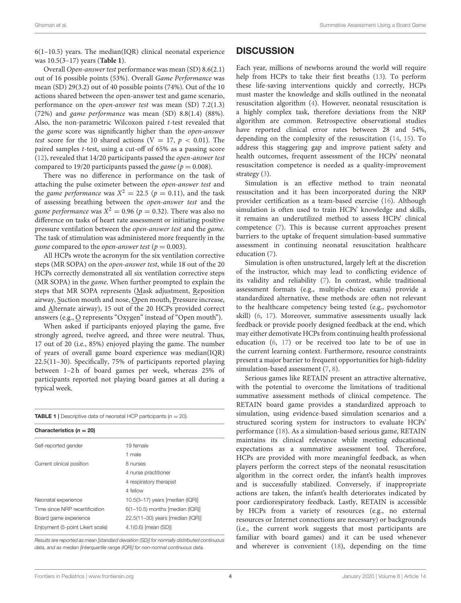6(1–10.5) years. The median(IQR) clinical neonatal experience was 10.5(3–17) years (**[Table 1](#page-3-0)**).

Overall Open-answer test performance was mean (SD) 8.6(2.1) out of 16 possible points (53%). Overall Game Performance was mean (SD) 29(3.2) out of 40 possible points (74%). Out of the 10 actions shared between the open-answer test and game scenario, performance on the open-answer test was mean (SD) 7.2(1.3) (72%) and game performance was mean (SD) 8.8(1.4) (88%). Also, the non-parametric Wilcoxon paired t-test revealed that the game score was significantly higher than the open-answer test score for the 10 shared actions (V = 17,  $p < 0.01$ ). The paired samples t-test, using a cut-off of 65% as a passing score [\(12\)](#page-5-12), revealed that 14/20 participants passed the open-answer test compared to 19/20 participants passed the *game* ( $p = 0.008$ ).

There was no difference in performance on the task of attaching the pulse oximeter between the open-answer test and the *game performance* was  $X^2 = 22.5$  ( $p = 0.11$ ), and the task of assessing breathing between the open-answer test and the game performance was  $X^2 = 0.96$  ( $p = 0.32$ ). There was also no difference on tasks of heart rate assessment or initiating positive pressure ventilation between the open-answer test and the game. The task of stimulation was administered more frequently in the game compared to the *open-answer test* ( $p = 0.003$ ).

All HCPs wrote the acronym for the six ventilation corrective steps (MR SOPA) on the open-answer test, while 18 out of the 20 HCPs correctly demonstrated all six ventilation corrective steps (MR SOPA) in the game. When further prompted to explain the steps that MR SOPA represents (Mask adjustment, Reposition airway, Suction mouth and nose, Open mouth, Pressure increase, and Alternate airway), 15 out of the 20 HCPs provided correct answers (e.g., O represents "Oxygen" instead of "Open mouth").

When asked if participants enjoyed playing the game, five strongly agreed, twelve agreed, and three were neutral. Thus, 17 out of 20 (i.e., 85%) enjoyed playing the game. The number of years of overall game board experience was median(IQR) 22.5(11–30). Specifically, 75% of participants reported playing between 1–2 h of board games per week, whereas 25% of participants reported not playing board games at all during a typical week.

<span id="page-3-0"></span>

| <b>TABLE 1</b> Descriptive data of neonatal HCP participants $(n = 20)$ .<br>Characteristics $(n = 20)$ |                                   |
|---------------------------------------------------------------------------------------------------------|-----------------------------------|
|                                                                                                         |                                   |
|                                                                                                         | 1 male                            |
| Current clinical position                                                                               | 8 nurses                          |
|                                                                                                         | 4 nurse practitioner              |
|                                                                                                         | 4 respiratory therapist           |
|                                                                                                         | 4 fellow                          |
| Neonatal experience                                                                                     | 10.5(3-17) years [median (IQR)]   |
| Time since NRP recertification                                                                          | $6(1-10.5)$ months [median (IQR)] |
| Board game experience                                                                                   | 22.5(11-30) years [median (IQR)]  |
| Enjoyment (5-point Likert scale)                                                                        | 4.1(0.6) [mean (SD)]              |

Results are reported as mean [standard deviation (SD)] for normally distributed continuous data, and as median [interquartile range (IQR)] for non-normal continuous data.

## **DISCUSSION**

Each year, millions of newborns around the world will require help from HCPs to take their first breaths [\(13\)](#page-5-13). To perform these life-saving interventions quickly and correctly, HCPs must master the knowledge and skills outlined in the neonatal resuscitation algorithm [\(4\)](#page-5-3). However, neonatal resuscitation is a highly complex task, therefore deviations from the NRP algorithm are common. Retrospective observational studies have reported clinical error rates between 28 and 54%, depending on the complexity of the resuscitation [\(14,](#page-5-14) [15\)](#page-5-15). To address this staggering gap and improve patient safety and health outcomes, frequent assessment of the HCPs' neonatal resuscitation competence is needed as a quality-improvement strategy [\(3\)](#page-5-2).

Simulation is an effective method to train neonatal resuscitation and it has been incorporated during the NRP provider certification as a team-based exercise [\(16\)](#page-5-16). Although simulation is often used to train HCPs' knowledge and skills, it remains an underutilized method to assess HCPs' clinical competence [\(7\)](#page-5-6). This is because current approaches present barriers to the uptake of frequent simulation-based summative assessment in continuing neonatal resuscitation healthcare education [\(7\)](#page-5-6).

Simulation is often unstructured, largely left at the discretion of the instructor, which may lead to conflicting evidence of its validity and reliability [\(7\)](#page-5-6). In contrast, while traditional assessment formats (e.g., multiple-choice exams) provide a standardized alternative, these methods are often not relevant to the healthcare competency being tested (e.g., psychomotor skill) [\(6,](#page-5-5) [17\)](#page-6-0). Moreover, summative assessments usually lack feedback or provide poorly designed feedback at the end, which may either demotivate HCPs from continuing health professional education [\(6,](#page-5-5) [17\)](#page-6-0) or be received too late to be of use in the current learning context. Furthermore, resource constraints present a major barrier to frequent opportunities for high-fidelity simulation-based assessment [\(7,](#page-5-6) [8\)](#page-5-7).

Serious games like RETAIN present an attractive alternative, with the potential to overcome the limitations of traditional summative assessment methods of clinical competence. The RETAIN board game provides a standardized approach to simulation, using evidence-based simulation scenarios and a structured scoring system for instructors to evaluate HCPs' performance [\(18\)](#page-6-1). As a simulation-based serious game, RETAIN maintains its clinical relevance while meeting educational expectations as a summative assessment tool. Therefore, HCPs are provided with more meaningful feedback, as when players perform the correct steps of the neonatal resuscitation algorithm in the correct order, the infant's health improves and is successfully stabilized. Conversely, if inappropriate actions are taken, the infant's health deteriorates indicated by poor cardiorespiratory feedback. Lastly, RETAIN is accessible by HCPs from a variety of resources (e.g., no external resources or Internet connections are necessary) or backgrounds (i.e., the current work suggests that most participants are familiar with board games) and it can be used whenever and wherever is convenient [\(18\)](#page-6-1), depending on the time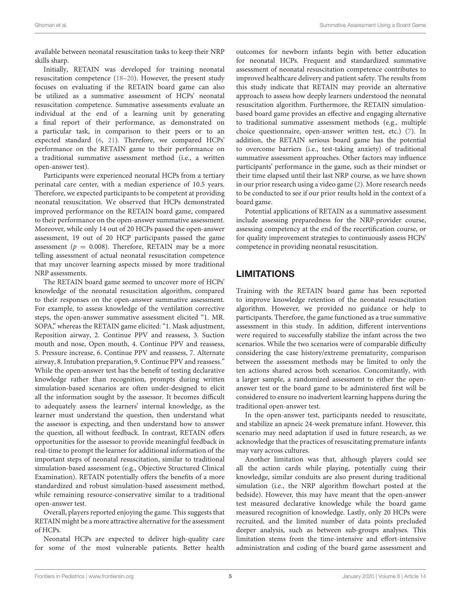available between neonatal resuscitation tasks to keep their NRP skills sharp.

Initially, RETAIN was developed for training neonatal resuscitation competence [\(18–](#page-6-1)[20\)](#page-6-2). However, the present study focuses on evaluating if the RETAIN board game can also be utilized as a summative assessment of HCPs' neonatal resuscitation competence. Summative assessments evaluate an individual at the end of a learning unit by generating a final report of their performance, as demonstrated on a particular task, in comparison to their peers or to an expected standard [\(6,](#page-5-5) [21\)](#page-6-3). Therefore, we compared HCPs' performance on the RETAIN game to their performance on a traditional summative assessment method (i.e., a written open-answer test).

Participants were experienced neonatal HCPs from a tertiary perinatal care center, with a median experience of 10.5 years. Therefore, we expected participants to be competent at providing neonatal resuscitation. We observed that HCPs demonstrated improved performance on the RETAIN board game, compared to their performance on the open-answer summative assessment. Moreover, while only 14 out of 20 HCPs passed the open-answer assessment, 19 out of 20 HCP participants passed the game assessment ( $p = 0.008$ ). Therefore, RETAIN may be a more telling assessment of actual neonatal resuscitation competence that may uncover learning aspects missed by more traditional NRP assessments.

The RETAIN board game seemed to uncover more of HCPs' knowledge of the neonatal resuscitation algorithm, compared to their responses on the open-answer summative assessment. For example, to assess knowledge of the ventilation corrective steps, the open-answer summative assessment elicited "1. MR. SOPA," whereas the RETAIN game elicited: "1. Mask adjustment, Reposition airway, 2. Continue PPV and reassess, 3. Suction mouth and nose, Open mouth, 4. Continue PPV and reassess, 5. Pressure increase, 6. Continue PPV and reassess, 7. Alternate airway, 8. Intubation preparation, 9. Continue PPV and reassess." While the open-answer test has the benefit of testing declarative knowledge rather than recognition, prompts during written simulation-based scenarios are often under-designed to elicit all the information sought by the assessor. It becomes difficult to adequately assess the learners' internal knowledge, as the learner must understand the question, then understand what the assessor is expecting, and then understand how to answer the question, all without feedback. In contrast, RETAIN offers opportunities for the assessor to provide meaningful feedback in real-time to prompt the learner for additional information of the important steps of neonatal resuscitation, similar to traditional simulation-based assessment (e.g., Objective Structured Clinical Examination). RETAIN potentially offers the benefits of a more standardized and robust simulation-based assessment method, while remaining resource-conservative similar to a traditional open-answer test.

Overall, players reported enjoying the game. This suggests that RETAIN might be a more attractive alternative for the assessment of HCPs.

Neonatal HCPs are expected to deliver high-quality care for some of the most vulnerable patients. Better health

outcomes for newborn infants begin with better education for neonatal HCPs. Frequent and standardized summative assessment of neonatal resuscitation competence contributes to improved healthcare delivery and patient safety. The results from this study indicate that RETAIN may provide an alternative approach to assess how deeply learners understood the neonatal resuscitation algorithm. Furthermore, the RETAIN simulationbased board game provides an effective and engaging alternative to traditional summative assessment methods (e.g., multiple choice questionnaire, open-answer written test, etc.) [\(7\)](#page-5-6). In addition, the RETAIN serious board game has the potential to overcome barriers (i.e., test-taking anxiety) of traditional summative assessment approaches. Other factors may influence participants' performance in the game, such as their mindset or their time elapsed until their last NRP course, as we have shown in our prior research using a video game [\(2\)](#page-5-1). More research needs to be conducted to see if our prior results hold in the context of a board game.

Potential applications of RETAIN as a summative assessment include assessing preparedness for the NRP-provider course, assessing competency at the end of the recertification course, or for quality improvement strategies to continuously assess HCPs' competence in providing neonatal resuscitation.

# LIMITATIONS

Training with the RETAIN board game has been reported to improve knowledge retention of the neonatal resuscitation algorithm. However, we provided no guidance or help to participants. Therefore, the game functioned as a true summative assessment in this study. In addition, different interventions were required to successfully stabilize the infant across the two scenarios. While the two scenarios were of comparable difficulty considering the case history/extreme prematurity, comparison between the assessment methods may be limited to only the ten actions shared across both scenarios. Concomitantly, with a larger sample, a randomized assessment to either the openanswer test or the board game to be administered first will be considered to ensure no inadvertent learning happens during the traditional open-answer test.

In the open-answer test, participants needed to resuscitate, and stabilize an apneic 24-week premature infant. However, this scenario may need adaptation if used in future research, as we acknowledge that the practices of resuscitating premature infants may vary across cultures.

Another limitation was that, although players could see all the action cards while playing, potentially cuing their knowledge, similar conduits are also present during traditional simulation (i.e., the NRP algorithm flowchart posted at the bedside). However, this may have meant that the open-answer test measured declarative knowledge while the board game measured recognition of knowledge. Lastly, only 20 HCPs were recruited, and the limited number of data points precluded deeper analysis, such as between sub-groups analyses. This limitation stems from the time-intensive and effort-intensive administration and coding of the board game assessment and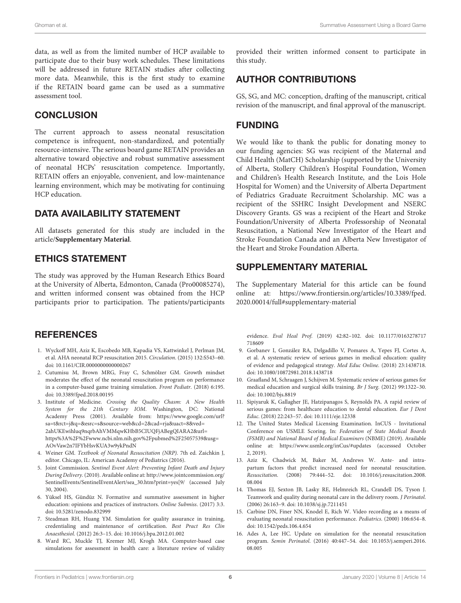data, as well as from the limited number of HCP available to participate due to their busy work schedules. These limitations will be addressed in future RETAIN studies after collecting more data. Meanwhile, this is the first study to examine if the RETAIN board game can be used as a summative assessment tool.

## **CONCLUSION**

The current approach to assess neonatal resuscitation competence is infrequent, non-standardized, and potentially resource-intensive. The serious board game RETAIN provides an alternative toward objective and robust summative assessment of neonatal HCPs' resuscitation competence. Importantly, RETAIN offers an enjoyable, convenient, and low-maintenance learning environment, which may be motivating for continuing HCP education.

## DATA AVAILABILITY STATEMENT

All datasets generated for this study are included in the article/**[Supplementary Material](#page-5-11)**.

# ETHICS STATEMENT

The study was approved by the Human Research Ethics Board at the University of Alberta, Edmonton, Canada (Pro00085274), and written informed consent was obtained from the HCP participants prior to participation. The patients/participants

## **REFERENCES**

- <span id="page-5-0"></span>1. Wyckoff MH, Aziz K, Escobedo MB, Kapadia VS, Kattwinkel J, Perlman JM, et al. AHA neonatal RCP resuscitation 2015. Circulation. (2015) 132:S543–60. doi: [10.1161/CIR.0000000000000267](https://doi.org/10.1161/CIR.0000000000000267)
- <span id="page-5-1"></span>2. Cutumisu M, Brown MRG, Fray C, Schmölzer GM. Growth mindset moderates the effect of the neonatal resuscitation program on performance in a computer-based game training simulation. Front Pediatr. (2018) 6:195. doi: [10.3389/fped.2018.00195](https://doi.org/10.3389/fped.2018.00195)
- <span id="page-5-2"></span>3. Institute of Medicine. Crossing the Quality Chasm: A New Health System for the 21th Century IOM. Washington, DC: National Academy Press (2001). Available from: [https://www.google.com/url?](https://www.google.com/url?sa=t&rct=j&q=&esrc=s&source=web&cd=2&cad=rja&uact=8&ved=2ahUKEwihluq9nqrbAhVMMqwKHbB5CIUQFjABegQIARA2&url=https%3A%2F%2Fwww.ncbi.nlm.nih.gov%2Fpubmed%2F25057539&usg=AOvVaw2n7IFYbHsvKUA3w9ykPndN) [sa=t&rct=j&q=&esrc=s&source=web&cd=2&cad=rja&uact=8&ved=](https://www.google.com/url?sa=t&rct=j&q=&esrc=s&source=web&cd=2&cad=rja&uact=8&ved=2ahUKEwihluq9nqrbAhVMMqwKHbB5CIUQFjABegQIARA2&url=https%3A%2F%2Fwww.ncbi.nlm.nih.gov%2Fpubmed%2F25057539&usg=AOvVaw2n7IFYbHsvKUA3w9ykPndN) [2ahUKEwihluq9nqrbAhVMMqwKHbB5CIUQFjABegQIARA2&url=](https://www.google.com/url?sa=t&rct=j&q=&esrc=s&source=web&cd=2&cad=rja&uact=8&ved=2ahUKEwihluq9nqrbAhVMMqwKHbB5CIUQFjABegQIARA2&url=https%3A%2F%2Fwww.ncbi.nlm.nih.gov%2Fpubmed%2F25057539&usg=AOvVaw2n7IFYbHsvKUA3w9ykPndN) [https%3A%2F%2Fwww.ncbi.nlm.nih.gov%2Fpubmed%2F25057539&usg=](https://www.google.com/url?sa=t&rct=j&q=&esrc=s&source=web&cd=2&cad=rja&uact=8&ved=2ahUKEwihluq9nqrbAhVMMqwKHbB5CIUQFjABegQIARA2&url=https%3A%2F%2Fwww.ncbi.nlm.nih.gov%2Fpubmed%2F25057539&usg=AOvVaw2n7IFYbHsvKUA3w9ykPndN) [AOvVaw2n7IFYbHsvKUA3w9ykPndN](https://www.google.com/url?sa=t&rct=j&q=&esrc=s&source=web&cd=2&cad=rja&uact=8&ved=2ahUKEwihluq9nqrbAhVMMqwKHbB5CIUQFjABegQIARA2&url=https%3A%2F%2Fwww.ncbi.nlm.nih.gov%2Fpubmed%2F25057539&usg=AOvVaw2n7IFYbHsvKUA3w9ykPndN)
- <span id="page-5-3"></span>4. Weiner GM. Textbook of Neonatal Resuscitation (NRP). 7th ed. Zaichkin J, editor. Chicago, IL: American Academy of Pediatrics (2016).
- <span id="page-5-4"></span>5. Joint Commission. Sentinel Event Alert: Preventing Infant Death and Injury During Delivery. (2010). Available online at: [http://www.jointcommission.org/](http://www.jointcommission.org/SentinelEvents/SentinelEventAlert/sea_30.htm?print=yes[9/) [SentinelEvents/SentinelEventAlert/sea\\_30.htm?print=yes\[9/](http://www.jointcommission.org/SentinelEvents/SentinelEventAlert/sea_30.htm?print=yes[9/) (accessed July 30, 2004).
- <span id="page-5-5"></span>6. Yüksel HS, Gündüz N. Formative and summative assessment in higher education: opinions and practices of instructors. Online Submiss. (2017) 3:3. doi: [10.5281/zenodo.832999](https://doi.org/10.5281/zenodo.832999)
- <span id="page-5-6"></span>7. Steadman RH, Huang YM. Simulation for quality assurance in training, credentialing and maintenance of certification. Best Pract Res Clin Anaesthesiol. (2012) 26:3–15. doi: [10.1016/j.bpa.2012.01.002](https://doi.org/10.1016/j.bpa.2012.01.002)
- <span id="page-5-7"></span>8. Ward RC, Muckle TJ, Kremer MJ, Krogh MA. Computer-based case simulations for assessment in health care: a literature review of validity

provided their written informed consent to participate in this study.

# AUTHOR CONTRIBUTIONS

GS, SG, and MC: conception, drafting of the manuscript, critical revision of the manuscript, and final approval of the manuscript.

## FUNDING

We would like to thank the public for donating money to our funding agencies: SG was recipient of the Maternal and Child Health (MatCH) Scholarship (supported by the University of Alberta, Stollery Children's Hospital Foundation, Women and Children's Health Research Institute, and the Lois Hole Hospital for Women) and the University of Alberta Department of Pediatrics Graduate Recruitment Scholarship. MC was a recipient of the SSHRC Insight Development and NSERC Discovery Grants. GS was a recipient of the Heart and Stroke Foundation/University of Alberta Professorship of Neonatal Resuscitation, a National New Investigator of the Heart and Stroke Foundation Canada and an Alberta New Investigator of the Heart and Stroke Foundation Alberta.

## SUPPLEMENTARY MATERIAL

<span id="page-5-11"></span>The Supplementary Material for this article can be found [online at: https://www.frontiersin.org/articles/10.3389/fped.](https://www.frontiersin.org/articles/10.3389/fped.2020.00014/full#supplementary-material) 2020.00014/full#supplementary-material

evidence. Eval Heal Prof. [\(2019\) 42:82–102. doi: 10.1177/0163278717](https://doi.org/10.1177/0163278717718609) 718609

- <span id="page-5-8"></span>9. Gorbanev I, González RA, Delgadillo V, Pomares A, Yepes FJ, Cortes A, et al. A systematic review of serious games in medical education: quality of evidence and pedagogical strategy. Med Educ Online. (2018) 23:1438718. doi: [10.1080/10872981.2018.1438718](https://doi.org/10.1080/10872981.2018.1438718)
- <span id="page-5-9"></span>10. Graafland M, Schraagen J, Schijven M. Systematic review of serious games for medical education and surgical skills training. Br J Surg. (2012) 99:1322–30. doi: [10.1002/bjs.8819](https://doi.org/10.1002/bjs.8819)
- <span id="page-5-10"></span>11. Sipiyaruk K, Gallagher JE, Hatzipanagos S, Reynolds PA. A rapid review of serious games: from healthcare education to dental education. Eur J Dent Educ. (2018) 22:243–57. doi: [10.1111/eje.12338](https://doi.org/10.1111/eje.12338)
- <span id="page-5-12"></span>12. The United States Medical Licensing Examination. InCUS - Invitational Conference on USMLE Scoring. In: Federation of State Medical Boards (FSMB) and National Board of Medical Examiners (NBME) (2019). Available online at:<https://www.usmle.org/inCus/#updates> (accesssed October 2, 2019).
- <span id="page-5-13"></span>13. Aziz K, Chadwick M, Baker M, Andrews W. Ante- and intrapartum factors that predict increased need for neonatal resuscitation. Resuscitation[. \(2008\) 79:444–52. doi: 10.1016/j.resuscitation.2008.](https://doi.org/10.1016/j.resuscitation.2008.08.004) 08.004
- <span id="page-5-14"></span>14. Thomas EJ, Sexton JB, Lasky RE, Helmreich RL, Crandell DS, Tyson J. Teamwork and quality during neonatal care in the delivery room. J Perinatol. (2006) 26:163–9. doi: [10.1038/sj.jp.7211451](https://doi.org/10.1038/sj.jp.7211451)
- <span id="page-5-15"></span>15. Carbine DN, Finer NN, Knodel E, Rich W. Video recording as a means of evaluating neonatal resuscitation performance. Pediatrics. (2000) 106:654–8. doi: [10.1542/peds.106.4.654](https://doi.org/10.1542/peds.106.4.654)
- <span id="page-5-16"></span>16. Ades A, Lee HC. Update on simulation for the neonatal resuscitation program. Semin Perinatol[. \(2016\) 40:447–54. doi: 10.1053/j.semperi.2016.](https://doi.org/10.1053/j.semperi.2016.08.005) 08.005